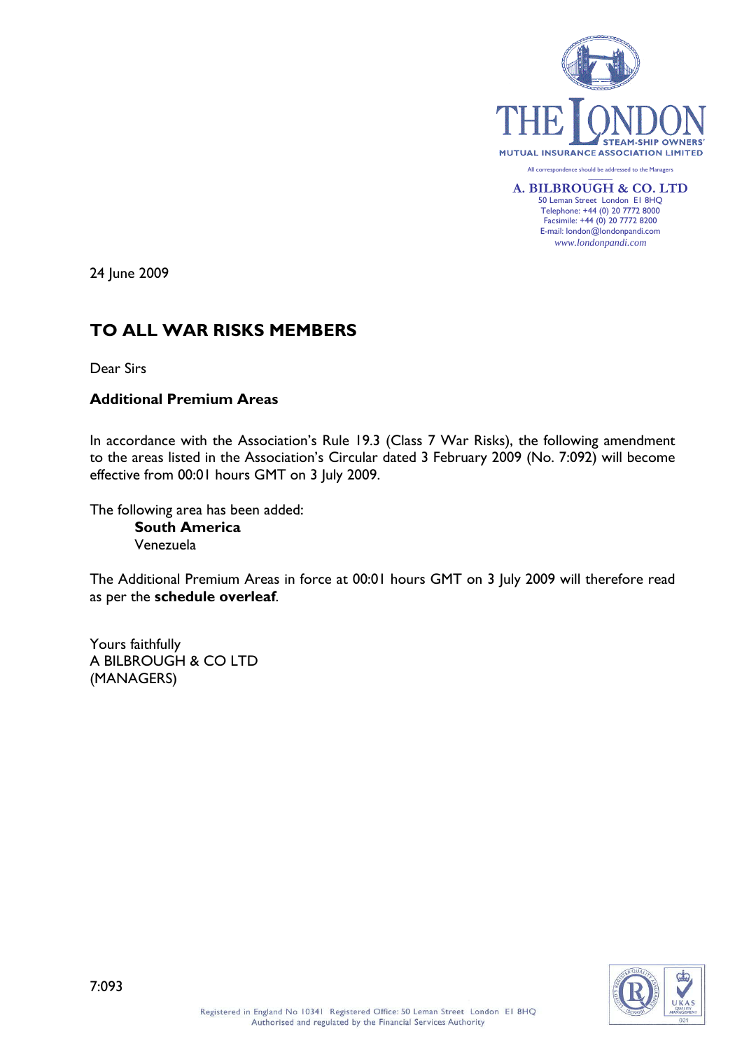

24 June 2009

# **TO ALL WAR RISKS MEMBERS**

Dear Sirs

# **Additional Premium Areas**

In accordance with the Association's Rule 19.3 (Class 7 War Risks), the following amendment to the areas listed in the Association's Circular dated 3 February 2009 (No. 7:092) will become effective from 00:01 hours GMT on 3 July 2009.

The following area has been added: **South America** Venezuela

The Additional Premium Areas in force at 00:01 hours GMT on 3 July 2009 will therefore read as per the **schedule overleaf**.

Yours faithfully A BILBROUGH & CO LTD (MANAGERS)